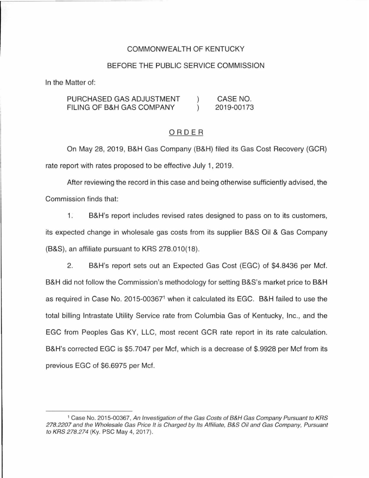### COMMONWEAL TH OF KENTUCKY

### BEFORE THE PUBLIC SERVICE COMMISSION

In the Matter of:

PURCHASED GAS ADJUSTMENT CASE NO.  $\left( \right)$ FILING OF B&H GAS COMPANY  $\lambda$ 2019-00173

#### ORDER

On May 28, 2019, B&H Gas Company (B&H) filed its Gas Cost Recovery (GCR) rate report with rates proposed to be effective July 1, 2019.

After reviewing the record in this case and being otherwise sufficiently advised, the Commission finds that:

1. B&H's report includes revised rates designed to pass on to its customers, its expected change in wholesale gas costs from its supplier B&S Oil & Gas Company (B&S), an affiliate pursuant to KRS 278.010(18).

2. B&H's report sets out an Expected Gas Cost (EGC) of \$4.8436 per Met. B&H did not follow the Commission's methodology for setting B&S's market price to B&H as required in Case No. 2015-00367<sup>1</sup>when it calculated its EGC. B&H failed to use the total billing Intrastate Utility Service rate from Columbia Gas of Kentucky, Inc., and the EGC from Peoples Gas KY, LLC, most recent GCR rate report in its rate calculation. B&H's corrected EGC is \$5.7047 per Mcf, which is a decrease of \$.9928 per Mcf from its previous EGC of \$6.6975 per Met.

<sup>&</sup>lt;sup>1</sup> Case No. 2015-00367, An Investigation of the Gas Costs of B&H Gas Company Pursuant to KRS 278.2207 and the Wholesale Gas Price It is Charged by Its Affiliate, B&S Oil and Gas Company, Pursuant to KRS 278.274 (Ky. PSC May 4, 2017).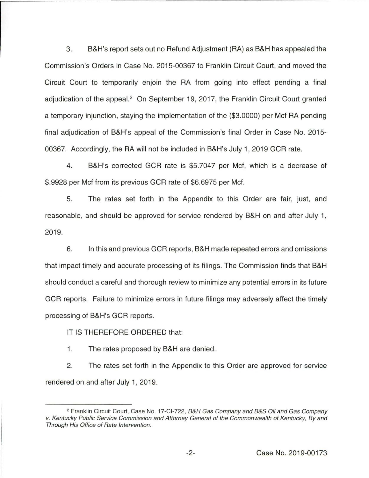3. B&H's report sets out no Refund Adjustment (RA) as B&H has appealed the Commission's Orders in Case No. 2015-00367 to Franklin Circuit Court, and moved the Circuit Court to temporarily enjoin the RA from going into effect pending a final adjudication of the appeal.<sup>2</sup> On September 19, 2017, the Franklin Circuit Court granted a temporary injunction, staying the implementation of the (\$3.0000) per Met RA pending final adjudication of B&H's appeal of the Commission's final Order in Case No. 2015- 00367. Accordingly, the RA will not be included in B&H's July 1, 2019 GCR rate.

4. B&H's corrected GCR rate is \$5.7047 per Met, which is a decrease of \$.9928 per Met from its previous GCR rate of \$6.6975 per Met.

5. The rates set forth in the Appendix to this Order are fair, just, and reasonable, and should be approved for service rendered by B&H on and after July 1, 2019.

6. In this and previous GCR reports, B&H made repeated errors and omissions that impact timely and accurate processing of its filings. The Commission finds that B&H should conduct a careful and thorough review to minimize any potential errors in its future GCR reports. Failure to minimize errors in future filings may adversely affect the timely processing of B&H's GCR reports.

## IT IS THEREFORE ORDERED that:

1. The rates proposed by B&H are denied.

2. The rates set forth in the Appendix to this Order are approved for service rendered on and after July 1, 2019.

<sup>&</sup>lt;sup>2</sup> Franklin Circuit Court, Case No. 17-Cl-722, B&H Gas Company and B&S Oil and Gas Company v. Kentucky Public Service Commission and Attorney General of the Commonwealth of Kentucky, By and Through His Office of Rate Intervention.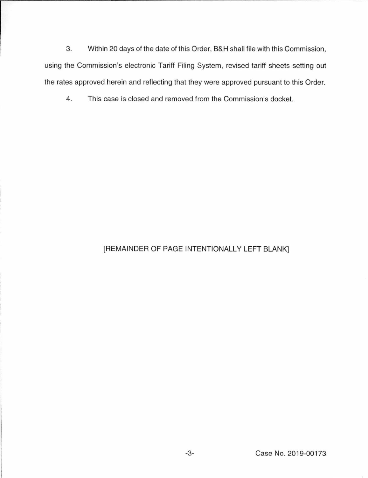3. Within 20 days of the date of this Order, B&H shall file with this Commission, using the Commission's electronic Tariff Filing System, revised tariff sheets setting out the rates approved herein and reflecting that they were approved pursuant to this Order.

4. This case is closed and removed from the Commission's docket.

# [REMAINDER OF PAGE INTENTIONALLY LEFT BLANK]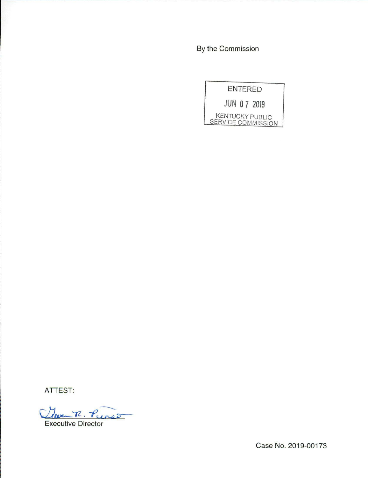By the Commission



ATTEST:

Cleven R Punson

Executive Director

Case No. 2019-00173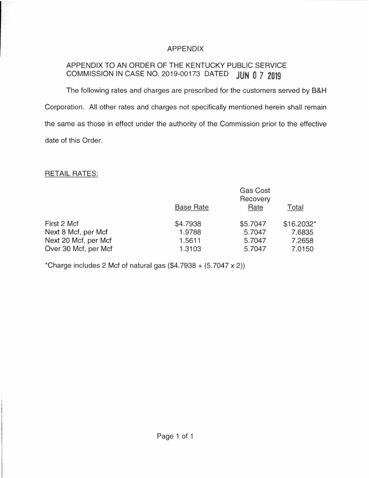# APPENDIX

# APPENDIX TO AN ORDER OF THE KENTUCKY PUBLIC SERVICE COMMISSION IN CASE NO. 2019-00173 DATED **JUN 0 7 2019**

The following rates and charges are prescribed for the customers served by B&H Corporation. All other rates and charges not specifically mentioned herein shall remain the same as those in effect under the authority of the Commission prior to the effective date of this Order.

## RETAIL RATES:

|                      |                  | Gas Cost<br>Recovery |            |
|----------------------|------------------|----------------------|------------|
|                      | <b>Base Rate</b> | Rate                 | Total      |
| First 2 Mcf          | \$4.7938         | \$5.7047             | \$16.2032* |
| Next 8 Mcf, per Mcf  | 1.9788           | 5.7047               | 7.6835     |
| Next 20 Mcf, per Mcf | 1.5611           | 5.7047               | 7.2658     |
| Over 30 Mcf, per Mcf | 1.3103           | 5.7047               | 7.0150     |

\*Charge includes 2 Mcf of natural gas  $(\$4.7938 + (5.7047 \times 2))$